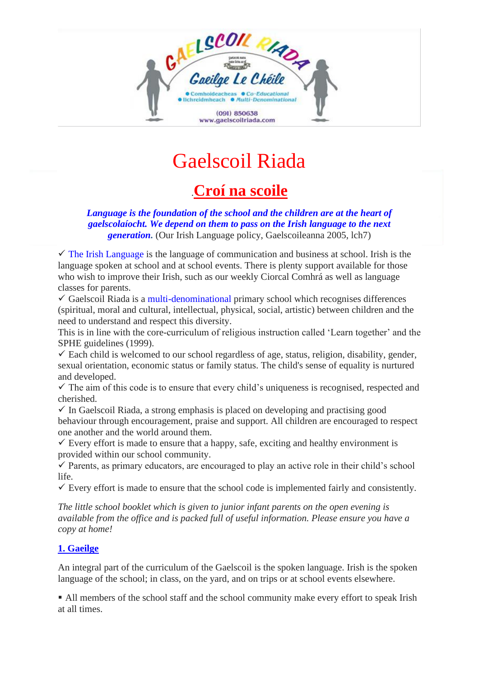

# Gaelscoil Riada

# .**Croí na scoile**

*Language is the foundation of the school and the children are at the heart of gaelscolaíocht. We depend on them to pass on the Irish language to the next generation.* (Our Irish Language policy, Gaelscoileanna 2005, lch7)

 $\checkmark$  The Irish Language is the language of communication and business at school. Irish is the language spoken at school and at school events. There is plenty support available for those who wish to improve their Irish, such as our weekly Ciorcal Comhrá as well as language classes for parents.

 $\checkmark$  Gaelscoil Riada is a multi-denominational primary school which recognises differences (spiritual, moral and cultural, intellectual, physical, social, artistic) between children and the need to understand and respect this diversity.

This is in line with the core-curriculum of religious instruction called 'Learn together' and the SPHE guidelines (1999).

 $\checkmark$  Each child is welcomed to our school regardless of age, status, religion, disability, gender, sexual orientation, economic status or family status. The child's sense of equality is nurtured and developed.

 $\checkmark$  The aim of this code is to ensure that every child's uniqueness is recognised, respected and cherished.

 $\checkmark$  In Gaelscoil Riada, a strong emphasis is placed on developing and practising good behaviour through encouragement, praise and support. All children are encouraged to respect one another and the world around them.

 $\checkmark$  Every effort is made to ensure that a happy, safe, exciting and healthy environment is provided within our school community.

 $\checkmark$  Parents, as primary educators, are encouraged to play an active role in their child's school life.

 $\checkmark$  Every effort is made to ensure that the school code is implemented fairly and consistently.

*The little school booklet which is given to junior infant parents on the open evening is available from the office and is packed full of useful information. Please ensure you have a copy at home!*

#### **1. Gaeilge**

An integral part of the curriculum of the Gaelscoil is the spoken language. Irish is the spoken language of the school; in class, on the yard, and on trips or at school events elsewhere.

■ All members of the school staff and the school community make every effort to speak Irish at all times.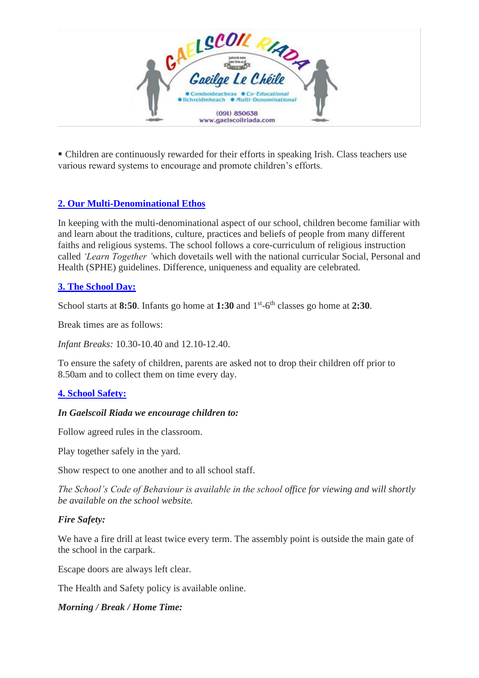

▪ Children are continuously rewarded for their efforts in speaking Irish. Class teachers use various reward systems to encourage and promote children's efforts.

## **2. Our Multi-Denominational Ethos**

In keeping with the multi-denominational aspect of our school, children become familiar with and learn about the traditions, culture, practices and beliefs of people from many different faiths and religious systems. The school follows a core-curriculum of religious instruction called *'Learn Together '*which dovetails well with the national curricular Social, Personal and Health (SPHE) guidelines. Difference, uniqueness and equality are celebrated.

#### **3. The School Day:**

School starts at 8:50. Infants go home at 1:30 and 1<sup>st</sup>-6<sup>th</sup> classes go home at 2:30.

Break times are as follows:

*Infant Breaks:* 10.30-10.40 and 12.10-12.40.

To ensure the safety of children, parents are asked not to drop their children off prior to 8.50am and to collect them on time every day.

#### **4. School Safety:**

#### *In Gaelscoil Riada we encourage children to:*

Follow agreed rules in the classroom.

Play together safely in the yard.

Show respect to one another and to all school staff.

*The School's Code of Behaviour is available in the school office for viewing and will shortly be available on the school website.*

#### *Fire Safety:*

We have a fire drill at least twice every term. The assembly point is outside the main gate of the school in the carpark.

Escape doors are always left clear.

The Health and Safety policy is available online.

#### *Morning / Break / Home Time:*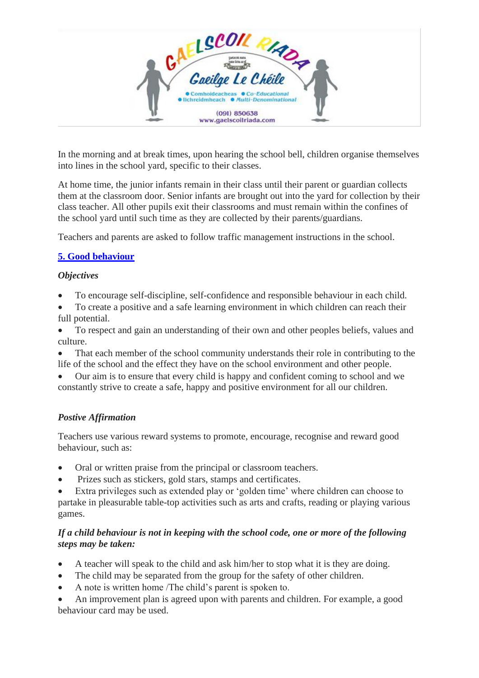

In the morning and at break times, upon hearing the school bell, children organise themselves into lines in the school yard, specific to their classes.

At home time, the junior infants remain in their class until their parent or guardian collects them at the classroom door. Senior infants are brought out into the yard for collection by their class teacher. All other pupils exit their classrooms and must remain within the confines of the school yard until such time as they are collected by their parents/guardians.

Teachers and parents are asked to follow traffic management instructions in the school.

#### **5. Good behaviour**

#### *Objectives*

- To encourage self-discipline, self-confidence and responsible behaviour in each child.
- To create a positive and a safe learning environment in which children can reach their full potential.

• To respect and gain an understanding of their own and other peoples beliefs, values and culture.

That each member of the school community understands their role in contributing to the life of the school and the effect they have on the school environment and other people.

• Our aim is to ensure that every child is happy and confident coming to school and we constantly strive to create a safe, happy and positive environment for all our children.

#### *Postive Affirmation*

Teachers use various reward systems to promote, encourage, recognise and reward good behaviour, such as:

- Oral or written praise from the principal or classroom teachers.
- Prizes such as stickers, gold stars, stamps and certificates.
- Extra privileges such as extended play or 'golden time' where children can choose to partake in pleasurable table-top activities such as arts and crafts, reading or playing various games.

#### *If a child behaviour is not in keeping with the school code, one or more of the following steps may be taken:*

- A teacher will speak to the child and ask him/her to stop what it is they are doing.
- The child may be separated from the group for the safety of other children.
- A note is written home /The child's parent is spoken to.
- An improvement plan is agreed upon with parents and children. For example, a good behaviour card may be used.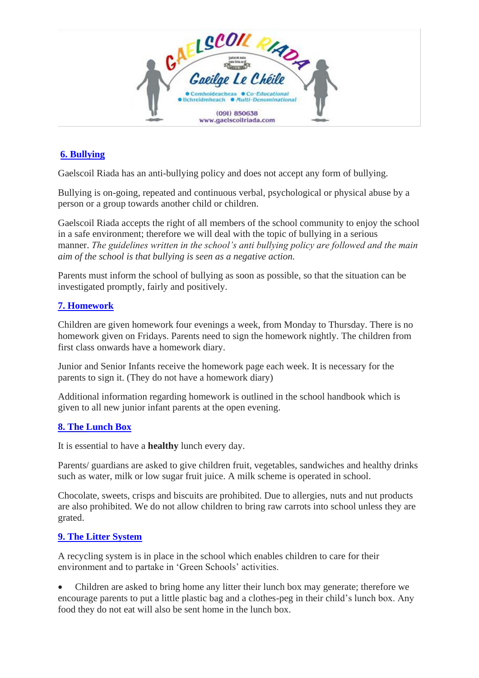

# **6. Bullying**

Gaelscoil Riada has an anti-bullying policy and does not accept any form of bullying.

Bullying is on-going, repeated and continuous verbal, psychological or physical abuse by a person or a group towards another child or children.

Gaelscoil Riada accepts the right of all members of the school community to enjoy the school in a safe environment; therefore we will deal with the topic of bullying in a serious manner. *The guidelines written in the school's anti bullying policy are followed and the main aim of the school is that bullying is seen as a negative action.*

Parents must inform the school of bullying as soon as possible, so that the situation can be investigated promptly, fairly and positively.

## **7. Homework**

Children are given homework four evenings a week, from Monday to Thursday. There is no homework given on Fridays. Parents need to sign the homework nightly. The children from first class onwards have a homework diary.

Junior and Senior Infants receive the homework page each week. It is necessary for the parents to sign it. (They do not have a homework diary)

Additional information regarding homework is outlined in the school handbook which is given to all new junior infant parents at the open evening.

#### **8. The Lunch Box**

It is essential to have a **healthy** lunch every day.

Parents/ guardians are asked to give children fruit, vegetables, sandwiches and healthy drinks such as water, milk or low sugar fruit juice. A milk scheme is operated in school.

Chocolate, sweets, crisps and biscuits are prohibited. Due to allergies, nuts and nut products are also prohibited. We do not allow children to bring raw carrots into school unless they are grated.

#### **9. The Litter System**

A recycling system is in place in the school which enables children to care for their environment and to partake in 'Green Schools' activities.

• Children are asked to bring home any litter their lunch box may generate; therefore we encourage parents to put a little plastic bag and a clothes-peg in their child's lunch box. Any food they do not eat will also be sent home in the lunch box.